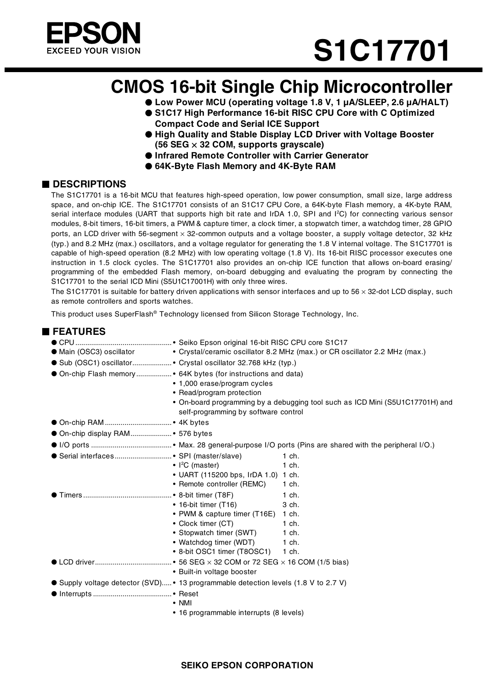

# **S1C17701**

# **CMOS 16-bit Single Chip Microcontroller**

- ● **Low Power MCU (operating voltage 1.8 V, 1 μA/SLEEP, 2.6 μA/HALT)**
- S1C17 High Performance 16-bit RISC CPU Core with C Optimized **Compact Code and Serial ICE Support**
- ● **High Quality and Stable Display LCD Driver with Voltage Booster (56 SEG** × **32 COM, supports grayscale)**
- ● **Infrared Remote Controller with Carrier Generator**
- 64K-Byte Flash Memory and 4K-Byte RAM

#### ■ **DESCRIPTIONS**

The S1C17701 is a 16-bit MCU that features high-speed operation, low power consumption, small size, large address space, and on-chip ICE. The S1C17701 consists of an S1C17 CPU Core, a 64K-byte Flash memory, a 4K-byte RAM, serial interface modules (UART that supports high bit rate and IrDA 1.0, SPI and  $I^2C$ ) for connecting various sensor modules, 8-bit timers, 16-bit timers, a PWM & capture timer, a clock timer, a stopwatch timer, a watchdog timer, 28 GPIO ports, an LCD driver with 56-segment × 32-common outputs and a voltage booster, a supply voltage detector, 32 kHz (typ.) and 8.2 MHz (max.) oscillators, and a voltage regulator for generating the 1.8 V internal voltage. The S1C17701 is capable of high-speed operation (8.2 MHz) with low operating voltage (1.8 V). Its 16-bit RISC processor executes one instruction in 1.5 clock cycles. The S1C17701 also provides an on-chip ICE function that allows on-board erasing/ programming of the embedded Flash memory, on-board debugging and evaluating the program by connecting the S1C17701 to the serial ICD Mini (S5U1C17001H) with only three wires.

The S1C17701 is suitable for battery driven applications with sensor interfaces and up to  $56 \times 32$ -dot LCD display, such as remote controllers and sports watches.

This product uses SuperFlash® Technology licensed from Silicon Storage Technology, Inc.

| <b>■ FEATURES</b>                    |                                                                                                      |
|--------------------------------------|------------------------------------------------------------------------------------------------------|
|                                      |                                                                                                      |
|                                      | • Main (OSC3) oscillator • Crystal/ceramic oscillator 8.2 MHz (max.) or CR oscillator 2.2 MHz (max.) |
|                                      |                                                                                                      |
|                                      | • On-chip Flash memory  • 64K bytes (for instructions and data)                                      |
|                                      | • 1,000 erase/program cycles                                                                         |
|                                      | • Read/program protection                                                                            |
|                                      | • On-board programming by a debugging tool such as ICD Mini (S5U1C17701H) and                        |
|                                      | self-programming by software control                                                                 |
|                                      |                                                                                                      |
| On-chip display RAM 576 bytes        |                                                                                                      |
|                                      |                                                                                                      |
| Serial interfaces SPI (master/slave) | 1 ch.                                                                                                |
|                                      | $\cdot$   <sup>2</sup> C (master)<br>1 ch.                                                           |
|                                      | • UART (115200 bps, IrDA 1.0) 1 ch.                                                                  |
|                                      | • Remote controller (REMC)<br>1 ch.                                                                  |
|                                      | 1 ch.                                                                                                |
|                                      | $\bullet$ 16-bit timer (T16)<br>3 ch.                                                                |
|                                      | • PWM & capture timer (T16E) 1 ch.                                                                   |
|                                      | • Clock timer (CT)<br>1 ch.                                                                          |
|                                      | • Stopwatch timer (SWT)<br>1 ch.                                                                     |
|                                      | • Watchdog timer (WDT) 1 ch.<br>• 8-bit OSC1 timer (T8OSC1)<br>1 ch.                                 |
|                                      |                                                                                                      |
|                                      | • Built-in voltage booster                                                                           |
|                                      |                                                                                                      |
|                                      | ● Supply voltage detector (SVD)• 13 programmable detection levels (1.8 V to 2.7 V)                   |
|                                      | $\bullet$ NMI                                                                                        |
|                                      | • 16 programmable interrupts (8 levels)                                                              |
|                                      |                                                                                                      |

#### **SEIKO EPSON CORPORATION**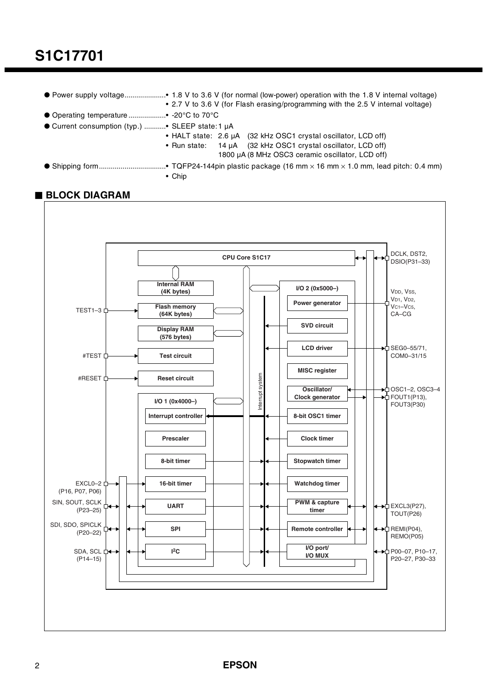# **S1C17701**

- Power supply voltage.....................• 1.8 V to 3.6 V (for normal (low-power) operation with the 1.8 V internal voltage) • 2.7 V to 3.6 V (for Flash erasing/programming with the 2.5 V internal voltage)
- Operating temperature ....................• -20°C to 70°C
- Current consumption (typ.) ...........• SLEEP state: 1 μA
	- HALT state: 2.6 μA (32 kHz OSC1 crystal oscillator, LCD off)
	- Run state: 14 μA (32 kHz OSC1 crystal oscillator, LCD off)
		- 1800 μA (8 MHz OSC3 ceramic oscillator, LCD off)
- Shipping form..................................• TQFP24-144pin plastic package (16 mm × 16 mm × 1.0 mm, lead pitch: 0.4 mm) • Chip

#### ■ **BLOCK DIAGRAM**

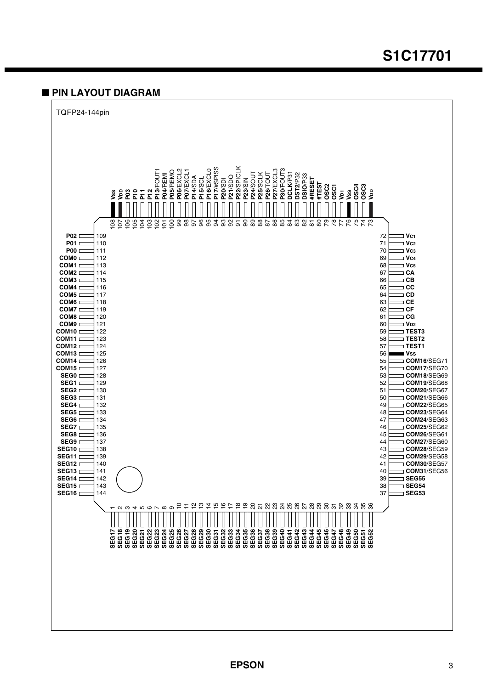### **S1C17701**

#### ■ **PIN LAYOUT DIAGRAM**

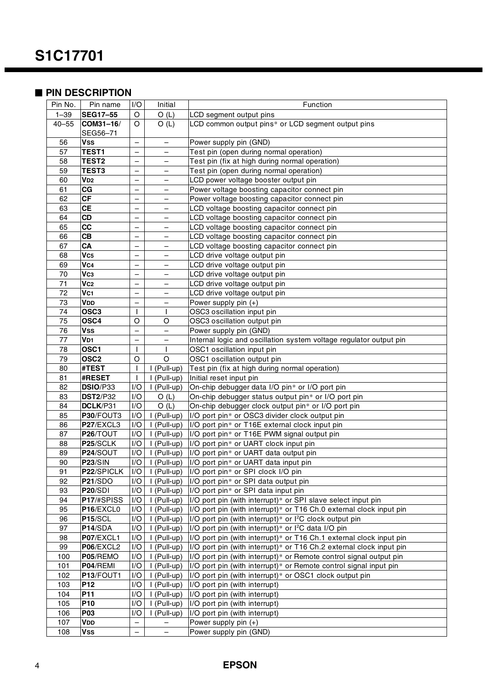#### ■ PIN DESCRIPTION

| Pin No.   | Pin name          | I/O                      | Initial                    | Function                                                            |
|-----------|-------------------|--------------------------|----------------------------|---------------------------------------------------------------------|
| $1 - 39$  | <b>SEG17-55</b>   | O                        | O(L)                       | LCD segment output pins                                             |
| $40 - 55$ |                   | O                        |                            |                                                                     |
|           | COM31-16/         |                          | O(L)                       | LCD common output pins* or LCD segment output pins                  |
|           | SEG56-71          |                          |                            |                                                                     |
| 56        | Vss               | —                        | —                          | Power supply pin (GND)                                              |
| 57        | TEST1             | $\overline{\phantom{0}}$ |                            | Test pin (open during normal operation)                             |
| 58        | TEST <sub>2</sub> | $\overline{\phantom{0}}$ |                            | Test pin (fix at high during normal operation)                      |
| 59        | <b>TEST3</b>      | $\overline{\phantom{0}}$ |                            | Test pin (open during normal operation)                             |
| 60        | V <sub>D2</sub>   | $\qquad \qquad -$        | $\overline{\phantom{0}}$   | LCD power voltage booster output pin                                |
| 61        | <b>CG</b>         | $\qquad \qquad -$        | $\qquad \qquad -$          | Power voltage boosting capacitor connect pin                        |
| 62        | <b>CF</b>         | $\qquad \qquad -$        | $\qquad \qquad -$          | Power voltage boosting capacitor connect pin                        |
| 63        | <b>CE</b>         | —                        | —                          | LCD voltage boosting capacitor connect pin                          |
| 64        | CD                | $\qquad \qquad -$        | $\qquad \qquad -$          | LCD voltage boosting capacitor connect pin                          |
| 65        | cc                | $\overline{\phantom{0}}$ | $\overline{\phantom{0}}$   | CD voltage boosting capacitor connect pin                           |
| 66        | CB                | $\qquad \qquad -$        | $\overline{\phantom{0}}$   | CD voltage boosting capacitor connect pin                           |
| 67        | CA                | $\qquad \qquad -$        | —                          | LCD voltage boosting capacitor connect pin                          |
| 68        | Vc <sub>5</sub>   | $\qquad \qquad -$        | $\qquad \qquad -$          | LCD drive voltage output pin                                        |
| 69        | Vc <sub>4</sub>   | $\qquad \qquad -$        |                            | LCD drive voltage output pin                                        |
| 70        | Vc <sub>3</sub>   | $\overline{\phantom{0}}$ |                            | LCD drive voltage output pin                                        |
| 71        | Vc <sub>2</sub>   | $\overline{\phantom{0}}$ |                            | LCD drive voltage output pin                                        |
| 72        | Vc1               | $\qquad \qquad -$        | $\qquad \qquad -$          | LCD drive voltage output pin                                        |
| 73        | VDD               | $\qquad \qquad -$        | $\qquad \qquad -$          | Power supply pin $(+)$                                              |
| 74        | OSC <sub>3</sub>  | $\mathsf{I}$             | $\mathbf{I}$               | OSC3 oscillation input pin                                          |
| 75        | OSC4              | O                        | O                          | OSC3 oscillation output pin                                         |
| 76        | <b>Vss</b>        | $\overline{\phantom{0}}$ | $\overline{\phantom{0}}$   | Power supply pin (GND)                                              |
| 77        | V <sub>D1</sub>   | $\overline{\phantom{0}}$ | $\overline{\phantom{0}}$   | Internal logic and oscillation system voltage regulator output pin  |
| 78        | OSC <sub>1</sub>  | I                        |                            | OSC1 oscillation input pin                                          |
| 79        | OSC <sub>2</sub>  | $\circ$                  | O                          | OSC1 oscillation output pin                                         |
| 80        | #TEST             | $\mathbf{I}$             | I (Pull-up)                | Test pin (fix at high during normal operation)                      |
| 81        | <b>#RESET</b>     | $\mathbf{I}$             | I (Pull-up)                | Initial reset input pin                                             |
| 82        | DSIO/P33          | I/O                      | I (Pull-up)                | On-chip debugger data I/O pin* or I/O port pin                      |
| 83        | <b>DST2/P32</b>   | I/O                      | O(L)                       | On-chip debugger status output pin* or I/O port pin                 |
| 84        | DCLK/P31          | I/O                      | O(L)                       | On-chip debugger clock output pin* or I/O port pin                  |
| 85        | P30/FOUT3         | I/O                      | I (Pull-up)                | I/O port pin* or OSC3 divider clock output pin                      |
| 86        | P27/EXCL3         | I/O                      | I (Pull-up)                | I/O port pin* or T16E external clock input pin                      |
| 87        | P26/TOUT          | I/O                      | I (Pull-up)                | I/O port pin* or T16E PWM signal output pin                         |
| 88        | P25/SCLK          | 1/O                      | I (Pull-up)                | I/O port pin* or UART clock input pin                               |
| 89        | P24/SOUT          | I/O                      |                            |                                                                     |
| 90        | <b>P23/SIN</b>    | I/O                      | I (Pull-up)<br>I (Pull-up) | I/O port pin* or UART data output pin                               |
|           |                   |                          |                            | I/O port pin* or UART data input pin                                |
| 91        | P22/SPICLK        | I/O                      | I (Pull-up)                | I/O port pin* or SPI clock I/O pin                                  |
| 92        | <b>P21/SDO</b>    | I/O                      | I (Pull-up)                | I/O port pin* or SPI data output pin                                |
| 93        | <b>P20/SDI</b>    | I/O                      | I (Pull-up)                | I/O port pin* or SPI data input pin                                 |
| 94        | P17/#SPISS        | I/O                      | I (Pull-up)                | I/O port pin (with interrupt)* or SPI slave select input pin        |
| 95        | P16/EXCL0         | I/O                      | I (Pull-up)                | I/O port pin (with interrupt)* or T16 Ch.0 external clock input pin |
| 96        | <b>P15/SCL</b>    | I/O                      | I (Pull-up)                | I/O port pin (with interrupt)* or I <sup>2</sup> C clock output pin |
| 97        | P14/SDA           | I/O                      | $\overline{I}$ (Pull-up)   | I/O port pin (with interrupt)* or I <sup>2</sup> C data I/O pin     |
| 98        | P07/EXCL1         | I/O                      | I (Pull-up)                | I/O port pin (with interrupt)* or T16 Ch.1 external clock input pin |
| 99        | P06/EXCL2         | I/O                      | I (Pull-up)                | I/O port pin (with interrupt)* or T16 Ch.2 external clock input pin |
| 100       | P05/REMO          | I/O                      | I (Pull-up)                | I/O port pin (with interrupt)* or Remote control signal output pin  |
| 101       | P04/REMI          | I/O                      | I (Pull-up)                | I/O port pin (with interrupt)* or Remote control signal input pin   |
| 102       | P13/FOUT1         | I/O                      | I (Pull-up)                | I/O port pin (with interrupt)* or OSC1 clock output pin             |
| 103       | P <sub>12</sub>   | I/O                      | I (Pull-up)                | I/O port pin (with interrupt)                                       |
| 104       | P11               | I/O                      | I (Pull-up)                | I/O port pin (with interrupt)                                       |
| 105       | <b>P10</b>        | I/O                      | I (Pull-up)                | I/O port pin (with interrupt)                                       |
| 106       | <b>P03</b>        | I/O                      | I (Pull-up)                | I/O port pin (with interrupt)                                       |
| 107       | <b>VDD</b>        | $\overline{\phantom{0}}$ |                            | Power supply pin $(+)$                                              |
| 108       | <b>Vss</b>        | $\qquad \qquad -$        | $\overline{\phantom{a}}$   | Power supply pin (GND)                                              |

#### **EPSON**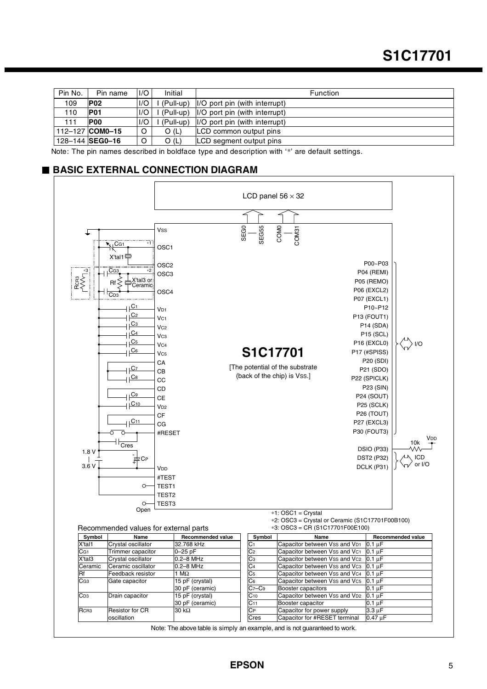| Pin No. | Pin name        | 1/O     | Initial     | <b>Function</b>                       |
|---------|-----------------|---------|-------------|---------------------------------------|
| 109     | <b>P02</b>      | 1/O     | (Pull-up)   | $\vert$ I/O port pin (with interrupt) |
| 110     | <b>P01</b>      | I/O     | l (Pull-up) | I/O port pin (with interrupt)         |
| 111     | <b>POO</b>      | 1/O     | (Pull-up)   | I/O port pin (with interrupt)         |
|         | 112-127 COM0-15 | $\circ$ | O (L)       | LCD common output pins                |
|         | 128-144 SEG0-16 | O       | O(L)        | LCD segment output pins               |

Note: The pin names described in boldface type and description with '\*' are default settings.

#### ■ **BASIC EXTERNAL CONNECTION DIAGRAM**



Note: The above table is simply an example, and is not guaranteed to work.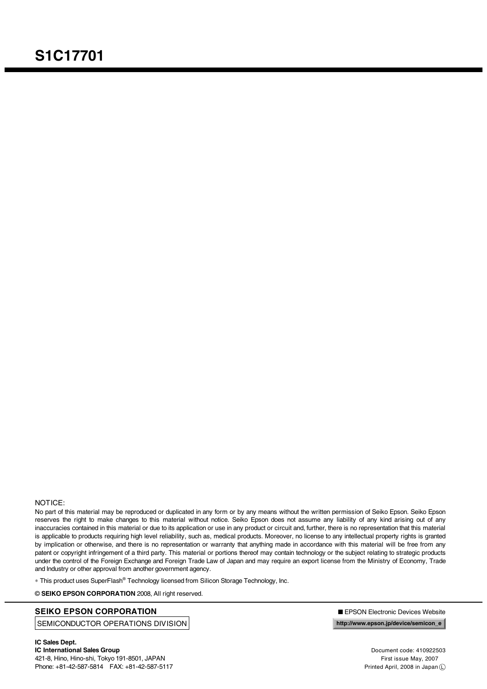#### NOTICE:

No part of this material may be reproduced or duplicated in any form or by any means without the written permission of Seiko Epson. Seiko Epson reserves the right to make changes to this material without notice. Seiko Epson does not assume any liability of any kind arising out of any inaccuracies contained in this material or due to its application or use in any product or circuit and, further, there is no representation that this material is applicable to products requiring high level reliability, such as, medical products. Moreover, no license to any intellectual property rights is granted by implication or otherwise, and there is no representation or warranty that anything made in accordance with this material will be free from any patent or copyright infringement of a third party. This material or portions thereof may contain technology or the subject relating to strategic products under the control of the Foreign Exchange and Foreign Trade Law of Japan and may require an export license from the Ministry of Economy, Trade and Industry or other approval from another government agency.

∗ This product uses SuperFlash® Technology licensed from Silicon Storage Technology, Inc.

© **SEIKO EPSON CORPORATION** 2008, All right reserved.

#### **SEIKO EPSON CORPORATION** ■ EPSON Electronic Devices Website

SEMICONDUCTOR OPERATIONS DIVISION

**http://www.epson.jp/device/semicon\_e**